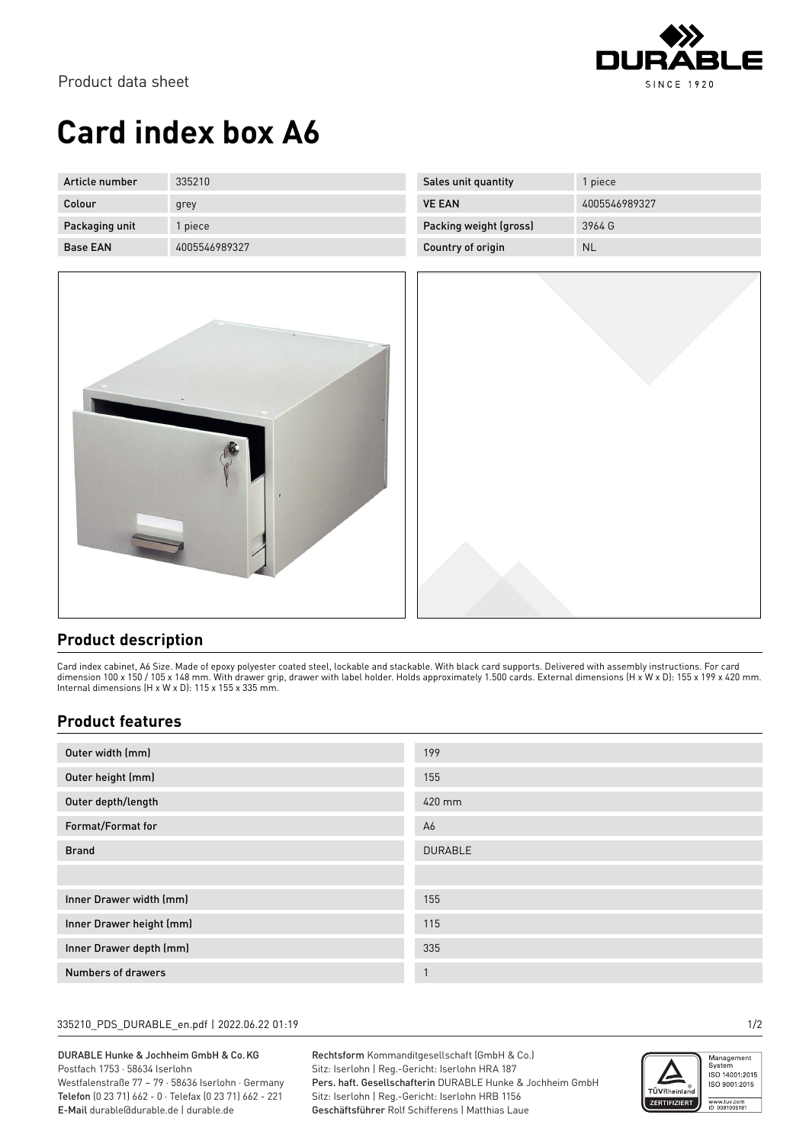

# **Card index box A6**

| Article number  | 335210        | Sales unit quantity    | l piece.      |
|-----------------|---------------|------------------------|---------------|
| Colour          | grey          | <b>VE EAN</b>          | 4005546989327 |
| Packaging unit  | piece         | Packing weight (gross) | 3964 G        |
| <b>Base EAN</b> | 4005546989327 | Country of origin      | <b>NL</b>     |



### **Product description**

Card index cabinet, A6 Size. Made of epoxy polyester coated steel, lockable and stackable. With black card supports. Delivered with assembly instructions. For card dimension 100 x 150 / 105 x 148 mm. With drawer grip, drawer with label holder. Holds approximately 1.500 cards. External dimensions (H x W x D): 155 x 199 x 420 mm. Internal dimensions (H x W x D): 115 x 155 x 335 mm.

### **Product features**

| Outer width (mm)         | 199            |
|--------------------------|----------------|
| Outer height (mm)        | 155            |
| Outer depth/length       | 420 mm         |
| Format/Format for        | A6             |
| <b>Brand</b>             | <b>DURABLE</b> |
|                          |                |
| Inner Drawer width (mm)  | 155            |
| Inner Drawer height (mm) | 115            |
| Inner Drawer depth (mm)  | 335            |
| Numbers of drawers       | $\mathbf{A}$   |

#### 335210\_PDS\_DURABLE\_en.pdf | 2022.06.22 01:19 1/2

DURABLE Hunke & Jochheim GmbH & Co.KG Postfach 1753 · 58634 Iserlohn Westfalenstraße 77 – 79 · 58636 Iserlohn · Germany

Telefon (0 23 71) 662 - 0 · Telefax (0 23 71) 662 - 221 E-Mail durable@durable.de | durable.de

Rechtsform Kommanditgesellschaft (GmbH & Co.) Sitz: Iserlohn | Reg.-Gericht: Iserlohn HRA 187 Pers. haft. Gesellschafterin DURABLE Hunke & Jochheim GmbH Sitz: Iserlohn | Reg.-Gericht: Iserlohn HRB 1156 Geschäftsführer Rolf Schifferens | Matthias Laue